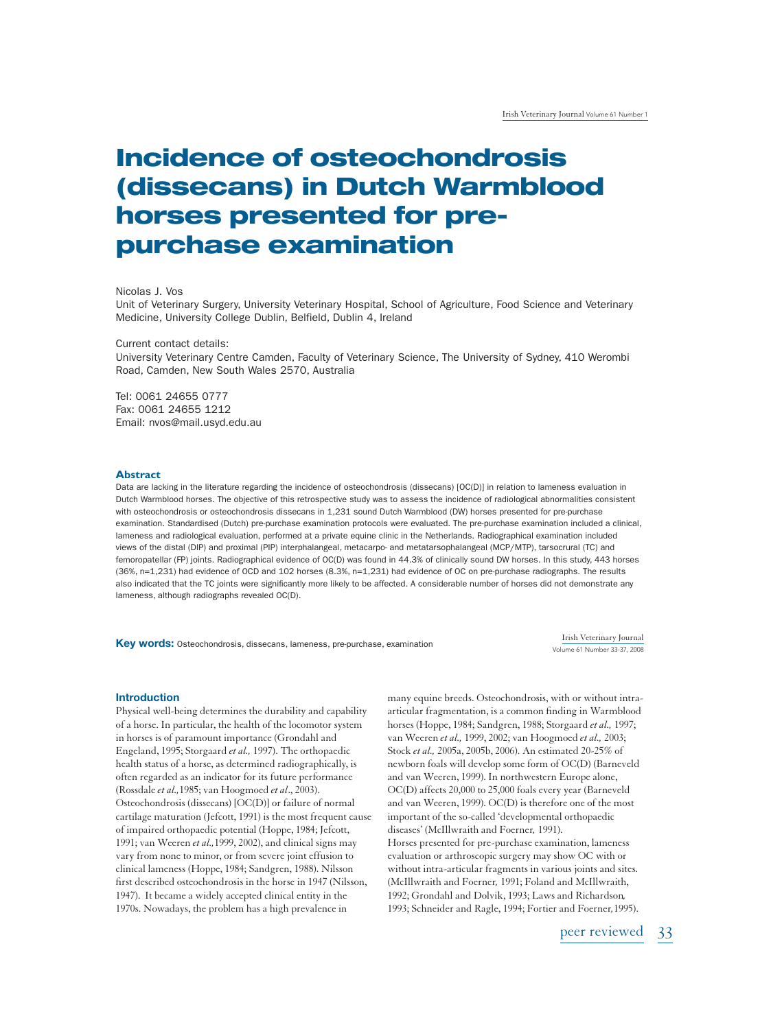# Incidence of osteochondrosis (dissecans) in Dutch Warmblood horses presented for prepurchase examination

## Nicolas J. Vos

Unit of Veterinary Surgery, University Veterinary Hospital, School of Agriculture, Food Science and Veterinary Medicine, University College Dublin, Belfield, Dublin 4, Ireland

Current contact details:

University Veterinary Centre Camden, Faculty of Veterinary Science, The University of Sydney, 410 Werombi Road, Camden, New South Wales 2570, Australia

Tel: 0061 24655 0777 Fax: 0061 24655 1212 Email: nvos@mail.usyd.edu.au

## **Abstract**

Data are lacking in the literature regarding the incidence of osteochondrosis (dissecans) [OC(D)] in relation to lameness evaluation in Dutch Warmblood horses. The objective of this retrospective study was to assess the incidence of radiological abnormalities consistent with osteochondrosis or osteochondrosis dissecans in 1,231 sound Dutch Warmblood (DW) horses presented for pre-purchase examination. Standardised (Dutch) pre-purchase examination protocols were evaluated. The pre-purchase examination included a clinical, lameness and radiological evaluation, performed at a private equine clinic in the Netherlands. Radiographical examination included views of the distal (DIP) and proximal (PIP) interphalangeal, metacarpo- and metatarsophalangeal (MCP/MTP), tarsocrural (TC) and femoropatellar (FP) joints. Radiographical evidence of OC(D) was found in 44.3% of clinically sound DW horses. In this study, 443 horses (36%, n=1,231) had evidence of OCD and 102 horses (8.3%, n=1,231) had evidence of OC on pre-purchase radiographs. The results also indicated that the TC joints were significantly more likely to be affected. A considerable number of horses did not demonstrate any lameness, although radiographs revealed OC(D).

**Key words:** Osteochondrosis, dissecans, lameness, pre-purchase, examination

Irish Veterinary Journal Volume 61 Number 33-37, 2008

# **Introduction**

Physical well-being determines the durability and capability of a horse. In particular, the health of the locomotor system in horses is of paramount importance (Grondahl and Engeland, 1995; Storgaard *et al.,* 1997). The orthopaedic health status of a horse, as determined radiographically, is often regarded as an indicator for its future performance (Rossdale *et al.,*1985; van Hoogmoed *et al*., 2003). Osteochondrosis (dissecans) [OC(D)] or failure of normal cartilage maturation (Jefcott, 1991) is the most frequent cause of impaired orthopaedic potential (Hoppe, 1984; Jefcott, 1991; van Weeren *et al.,*1999, 2002), and clinical signs may vary from none to minor, or from severe joint effusion to clinical lameness (Hoppe, 1984; Sandgren, 1988). Nilsson first described osteochondrosis in the horse in 1947 (Nilsson, 1947). It became a widely accepted clinical entity in the 1970s. Nowadays, the problem has a high prevalence in

many equine breeds. Osteochondrosis, with or without intraarticular fragmentation, is a common finding in Warmblood horses (Hoppe, 1984; Sandgren, 1988; Storgaard *et al.,* 1997; van Weeren *et al.,* 1999, 2002; van Hoogmoed *et al.,* 2003; Stock *et al.,* 2005a, 2005b, 2006). An estimated 20-25% of newborn foals will develop some form of OC(D) (Barneveld and van Weeren, 1999). In northwestern Europe alone, OC(D) affects 20,000 to 25,000 foals every year (Barneveld and van Weeren, 1999). OC(D) is therefore one of the most important of the so-called 'developmental orthopaedic diseases' (McIllwraith and Foerner*,* 1991). Horses presented for pre-purchase examination, lameness evaluation or arthroscopic surgery may show OC with or without intra-articular fragments in various joints and sites. (McIllwraith and Foerner*,* 1991; Foland and McIllwraith, 1992; Grondahl and Dolvik, 1993; Laws and Richardson*,* 1993; Schneider and Ragle, 1994; Fortier and Foerner*,*1995).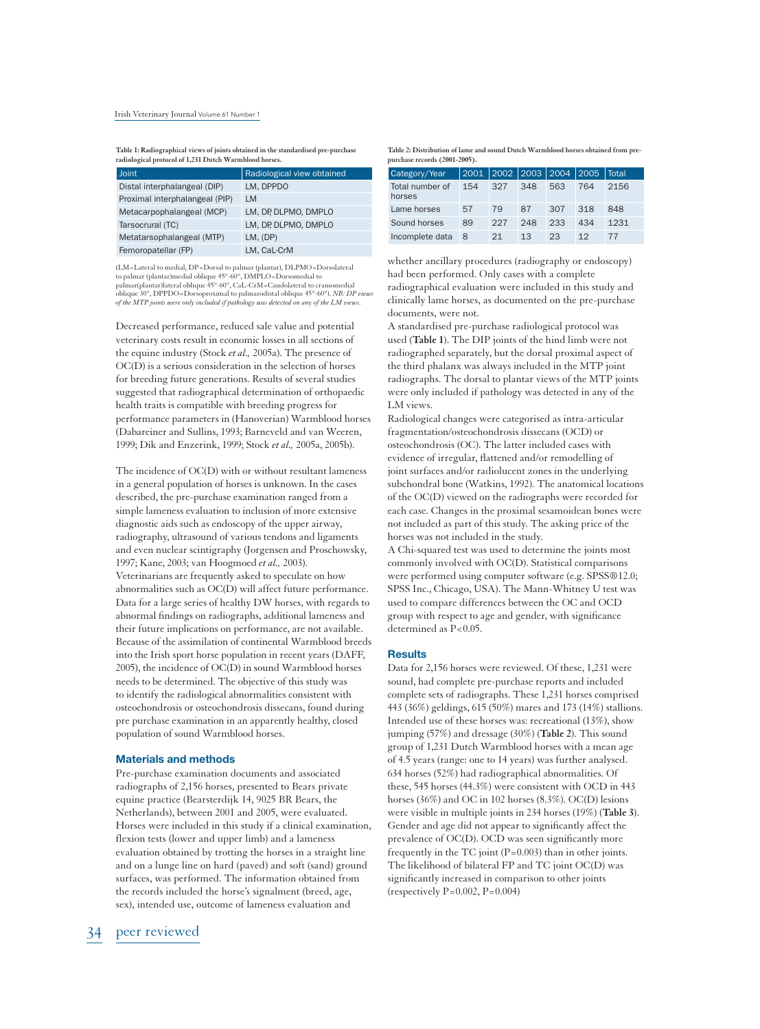**Table 1: Radiographical views of joints obtained in the standardised pre-purchase radiological protocol of 1,231 Dutch Warmblood horses.**

| <b>Joint</b>                   | Radiological view obtained |
|--------------------------------|----------------------------|
| Distal interphalangeal (DIP)   | LM, DPPDO                  |
| Proximal interphalangeal (PIP) | I M                        |
| Metacarpophalangeal (MCP)      | LM, DP, DLPMO, DMPLO       |
| Tarsocrural (TC)               | LM, DP, DLPMO, DMPLO       |
| Metatarsophalangeal (MTP)      | LM, (DP)                   |
| Femoropatellar (FP)            | LM, CaL-CrM                |

(LM=Lateral to medial, DP=Dorsal to palmar (plantar), DLPMO=Dorsolateral to palmar (plantar)medial oblique 45°-60°, DMPLO=Dorsomedial to palmar(plantar)lateral oblique 45°-60°, CaL-CrM=Caudolateral to craniomedial oblique 30°, DPPDO=Dorsoproximal to palmarodistal oblique 45°-60°). *NB: DP views*<br>of the MTP joints were only included if pathology was detected on any of the LM views.

Decreased performance, reduced sale value and potential veterinary costs result in economic losses in all sections of the equine industry (Stock *et al.,* 2005a). The presence of OC(D) is a serious consideration in the selection of horses for breeding future generations. Results of several studies suggested that radiographical determination of orthopaedic health traits is compatible with breeding progress for performance parameters in (Hanoverian) Warmblood horses (Dabareiner and Sullins, 1993; Barneveld and van Weeren, 1999; Dik and Enzerink, 1999; Stock *et al.,* 2005a, 2005b).

The incidence of OC(D) with or without resultant lameness in a general population of horses is unknown. In the cases described, the pre-purchase examination ranged from a simple lameness evaluation to inclusion of more extensive diagnostic aids such as endoscopy of the upper airway, radiography, ultrasound of various tendons and ligaments and even nuclear scintigraphy (Jorgensen and Proschowsky, 1997; Kane, 2003; van Hoogmoed *et al.,* 2003). Veterinarians are frequently asked to speculate on how abnormalities such as OC(D) will affect future performance. Data for a large series of healthy DW horses, with regards to abnormal findings on radiographs, additional lameness and their future implications on performance, are not available. Because of the assimilation of continental Warmblood breeds into the Irish sport horse population in recent years (DAFF, 2005), the incidence of OC(D) in sound Warmblood horses needs to be determined. The objective of this study was to identify the radiological abnormalities consistent with osteochondrosis or osteochondrosis dissecans, found during pre purchase examination in an apparently healthy, closed population of sound Warmblood horses.

## **Materials and methods**

Pre-purchase examination documents and associated radiographs of 2,156 horses, presented to Bears private equine practice (Bearsterdijk 14, 9025 BR Bears, the Netherlands), between 2001 and 2005, were evaluated. Horses were included in this study if a clinical examination, flexion tests (lower and upper limb) and a lameness evaluation obtained by trotting the horses in a straight line and on a lunge line on hard (paved) and soft (sand) ground surfaces, was performed. The information obtained from the records included the horse's signalment (breed, age, sex), intended use, outcome of lameness evaluation and

| Category/Year             | 2001 |     |     | 2002 2003 2004 2005 |     | l Total |
|---------------------------|------|-----|-----|---------------------|-----|---------|
| Total number of<br>horses | 154  | 327 | 348 | 563                 | 764 | 2156    |
| Lame horses               | 57   | 79  | 87  | 307                 | 318 | 848     |
| Sound horses              | 89   | 227 | 248 | 233                 | 434 | 1231    |
| Incomplete data           | -8   | 21  | 13  | 23                  | 12  |         |

whether ancillary procedures (radiography or endoscopy) had been performed. Only cases with a complete radiographical evaluation were included in this study and clinically lame horses, as documented on the pre-purchase documents, were not.

A standardised pre-purchase radiological protocol was used (**Table 1**). The DIP joints of the hind limb were not radiographed separately, but the dorsal proximal aspect of the third phalanx was always included in the MTP joint radiographs. The dorsal to plantar views of the MTP joints were only included if pathology was detected in any of the LM views.

Radiological changes were categorised as intra-articular fragmentation/osteochondrosis dissecans (OCD) or osteochondrosis (OC). The latter included cases with evidence of irregular, flattened and/or remodelling of joint surfaces and/or radiolucent zones in the underlying subchondral bone (Watkins, 1992). The anatomical locations of the OC(D) viewed on the radiographs were recorded for each case. Changes in the proximal sesamoidean bones were not included as part of this study. The asking price of the horses was not included in the study.

A Chi-squared test was used to determine the joints most commonly involved with OC(D). Statistical comparisons were performed using computer software (e.g. SPSS®12.0; SPSS Inc., Chicago, USA). The Mann-Whitney U test was used to compare differences between the OC and OCD group with respect to age and gender, with significance determined as P<0.05.

# **Results**

Data for 2,156 horses were reviewed. Of these, 1,231 were sound, had complete pre-purchase reports and included complete sets of radiographs. These 1,231 horses comprised 443 (36%) geldings, 615 (50%) mares and 173 (14%) stallions. Intended use of these horses was: recreational (13%), show jumping (57%) and dressage (30%) (**Table 2**). This sound group of 1,231 Dutch Warmblood horses with a mean age of 4.5 years (range: one to 14 years) was further analysed. 634 horses (52%) had radiographical abnormalities. Of these, 545 horses (44.3%) were consistent with OCD in 443 horses (36%) and OC in 102 horses (8.3%). OC(D) lesions were visible in multiple joints in 234 horses (19%) (**Table 3**). Gender and age did not appear to significantly affect the prevalence of OC(D). OCD was seen significantly more frequently in the TC joint  $(P=0.003)$  than in other joints. The likelihood of bilateral FP and TC joint OC(D) was significantly increased in comparison to other joints (respectively  $P=0.002$ ,  $P=0.004$ )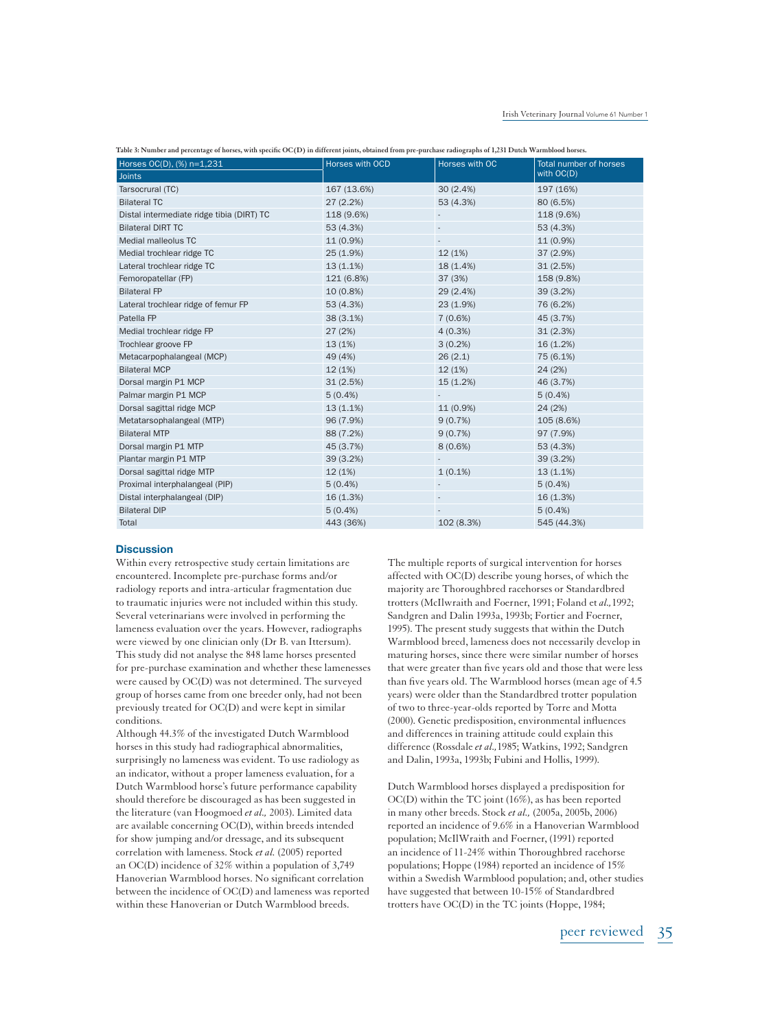| Horses OC(D), (%) n=1,231                 | Horses with OCD | Horses with OC | Total number of horses |
|-------------------------------------------|-----------------|----------------|------------------------|
| <b>Joints</b>                             |                 |                | with OC(D)             |
| Tarsocrural (TC)                          | 167 (13.6%)     | 30(2.4%)       | 197 (16%)              |
| <b>Bilateral TC</b>                       | 27(2.2%)        | 53 (4.3%)      | 80 (6.5%)              |
| Distal intermediate ridge tibia (DIRT) TC | 118 (9.6%)      |                | 118 (9.6%)             |
| <b>Bilateral DIRT TC</b>                  | 53 (4.3%)       |                | 53 (4.3%)              |
| Medial malleolus TC                       | 11 (0.9%)       |                | 11 (0.9%)              |
| Medial trochlear ridge TC                 | 25(1.9%)        | 12(1%)         | 37 (2.9%)              |
| Lateral trochlear ridge TC                | $13(1.1\%)$     | 18 (1.4%)      | 31(2.5%)               |
| Femoropatellar (FP)                       | 121 (6.8%)      | 37 (3%)        | 158 (9.8%)             |
| <b>Bilateral FP</b>                       | 10 (0.8%)       | 29 (2.4%)      | 39 (3.2%)              |
| Lateral trochlear ridge of femur FP       | 53 (4.3%)       | 23 (1.9%)      | 76 (6.2%)              |
| Patella FP                                | 38 (3.1%)       | 7(0.6%)        | 45 (3.7%)              |
| Medial trochlear ridge FP                 | 27 (2%)         | $4(0.3\%)$     | 31(2.3%)               |
| Trochlear groove FP                       | 13(1%)          | $3(0.2\%)$     | 16 (1.2%)              |
| Metacarpophalangeal (MCP)                 | 49 (4%)         | 26(2.1)        | 75 (6.1%)              |
| <b>Bilateral MCP</b>                      | 12 (1%)         | 12(1%)         | 24 (2%)                |
| Dorsal margin P1 MCP                      | 31(2.5%)        | 15(1.2%)       | 46 (3.7%)              |
| Palmar margin P1 MCP                      | $5(0.4\%)$      |                | $5(0.4\%)$             |
| Dorsal sagittal ridge MCP                 | $13(1.1\%)$     | 11 (0.9%)      | 24 (2%)                |
| Metatarsophalangeal (MTP)                 | 96 (7.9%)       | 9(0.7%)        | 105 (8.6%)             |
| <b>Bilateral MTP</b>                      | 88 (7.2%)       | 9(0.7%)        | 97 (7.9%)              |
| Dorsal margin P1 MTP                      | 45 (3.7%)       | $8(0.6\%)$     | 53 (4.3%)              |
| Plantar margin P1 MTP                     | 39 (3.2%)       |                | 39 (3.2%)              |
| Dorsal sagittal ridge MTP                 | 12(1%)          | $1(0.1\%)$     | $13(1.1\%)$            |
| Proximal interphalangeal (PIP)            | $5(0.4\%)$      |                | $5(0.4\%)$             |
| Distal interphalangeal (DIP)              | 16 (1.3%)       |                | 16 (1.3%)              |
| <b>Bilateral DIP</b>                      | $5(0.4\%)$      |                | $5(0.4\%)$             |
| Total                                     | 443 (36%)       | 102 (8.3%)     | 545 (44.3%)            |

**Table 3: Number and percentage of horses, with specific OC(D) in different joints, obtained from pre-purchase radiographs of 1,231 Dutch Warmblood horses.** 

# **Discussion**

Within every retrospective study certain limitations are encountered. Incomplete pre-purchase forms and/or radiology reports and intra-articular fragmentation due to traumatic injuries were not included within this study. Several veterinarians were involved in performing the lameness evaluation over the years. However, radiographs were viewed by one clinician only (Dr B. van Ittersum). This study did not analyse the 848 lame horses presented for pre-purchase examination and whether these lamenesses were caused by OC(D) was not determined. The surveyed group of horses came from one breeder only, had not been previously treated for OC(D) and were kept in similar conditions.

Although 44.3% of the investigated Dutch Warmblood horses in this study had radiographical abnormalities, surprisingly no lameness was evident. To use radiology as an indicator, without a proper lameness evaluation, for a Dutch Warmblood horse's future performance capability should therefore be discouraged as has been suggested in the literature (van Hoogmoed *et al.,* 2003). Limited data are available concerning OC(D), within breeds intended for show jumping and/or dressage, and its subsequent correlation with lameness. Stock *et al.* (2005) reported an OC(D) incidence of 32% within a population of 3,749 Hanoverian Warmblood horses. No significant correlation between the incidence of OC(D) and lameness was reported within these Hanoverian or Dutch Warmblood breeds.

The multiple reports of surgical intervention for horses affected with OC(D) describe young horses, of which the majority are Thoroughbred racehorses or Standardbred trotters (McIlwraith and Foerner, 1991; Foland et *al.,*1992; Sandgren and Dalin 1993a, 1993b; Fortier and Foerner, 1995). The present study suggests that within the Dutch Warmblood breed, lameness does not necessarily develop in maturing horses, since there were similar number of horses that were greater than five years old and those that were less than five years old. The Warmblood horses (mean age of 4.5 years) were older than the Standardbred trotter population of two to three-year-olds reported by Torre and Motta (2000). Genetic predisposition, environmental influences and differences in training attitude could explain this difference (Rossdale *et al.,*1985; Watkins, 1992; Sandgren and Dalin, 1993a, 1993b; Fubini and Hollis, 1999).

Dutch Warmblood horses displayed a predisposition for OC(D) within the TC joint (16%), as has been reported in many other breeds. Stock *et al.,* (2005a, 2005b, 2006) reported an incidence of 9.6% in a Hanoverian Warmblood population; McIlWraith and Foerner, (1991) reported an incidence of 11-24% within Thoroughbred racehorse populations; Hoppe (1984) reported an incidence of 15% within a Swedish Warmblood population; and, other studies have suggested that between 10-15% of Standardbred trotters have OC(D) in the TC joints (Hoppe, 1984;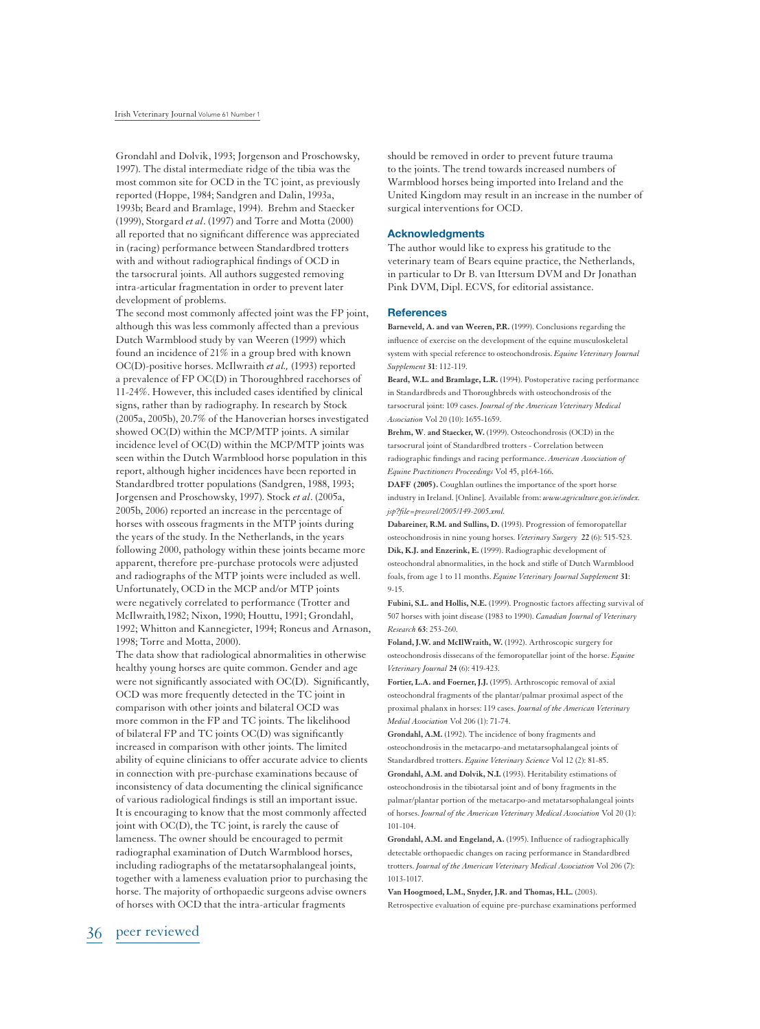Grondahl and Dolvik, 1993; Jorgenson and Proschowsky, 1997). The distal intermediate ridge of the tibia was the most common site for OCD in the TC joint, as previously reported (Hoppe, 1984; Sandgren and Dalin, 1993a, 1993b; Beard and Bramlage, 1994). Brehm and Staecker (1999), Storgard *et al*. (1997) and Torre and Motta (2000) all reported that no significant difference was appreciated in (racing) performance between Standardbred trotters with and without radiographical findings of OCD in the tarsocrural joints. All authors suggested removing intra-articular fragmentation in order to prevent later development of problems.

The second most commonly affected joint was the FP joint, although this was less commonly affected than a previous Dutch Warmblood study by van Weeren (1999) which found an incidence of 21% in a group bred with known OC(D)-positive horses. McIlwraith *et al.,* (1993) reported a prevalence of FP OC(D) in Thoroughbred racehorses of 11-24%. However, this included cases identified by clinical signs, rather than by radiography. In research by Stock (2005a, 2005b), 20.7% of the Hanoverian horses investigated showed OC(D) within the MCP/MTP joints. A similar incidence level of OC(D) within the MCP/MTP joints was seen within the Dutch Warmblood horse population in this report, although higher incidences have been reported in Standardbred trotter populations (Sandgren, 1988, 1993; Jorgensen and Proschowsky, 1997). Stock *et al*. (2005a, 2005b, 2006) reported an increase in the percentage of horses with osseous fragments in the MTP joints during the years of the study. In the Netherlands, in the years following 2000, pathology within these joints became more apparent, therefore pre-purchase protocols were adjusted and radiographs of the MTP joints were included as well. Unfortunately, OCD in the MCP and/or MTP joints were negatively correlated to performance (Trotter and McIlwraith*,*1982; Nixon, 1990; Houttu, 1991; Grondahl, 1992; Whitton and Kannegieter, 1994; Roneus and Arnason, 1998; Torre and Motta, 2000).

The data show that radiological abnormalities in otherwise healthy young horses are quite common. Gender and age were not significantly associated with OC(D). Significantly, OCD was more frequently detected in the TC joint in comparison with other joints and bilateral OCD was more common in the FP and TC joints. The likelihood of bilateral FP and TC joints OC(D) was significantly increased in comparison with other joints. The limited ability of equine clinicians to offer accurate advice to clients in connection with pre-purchase examinations because of inconsistency of data documenting the clinical significance of various radiological findings is still an important issue. It is encouraging to know that the most commonly affected joint with OC(D), the TC joint, is rarely the cause of lameness. The owner should be encouraged to permit radiographal examination of Dutch Warmblood horses, including radiographs of the metatarsophalangeal joints, together with a lameness evaluation prior to purchasing the horse. The majority of orthopaedic surgeons advise owners of horses with OCD that the intra-articular fragments

should be removed in order to prevent future trauma to the joints. The trend towards increased numbers of Warmblood horses being imported into Ireland and the United Kingdom may result in an increase in the number of surgical interventions for OCD.

## **Acknowledgments**

The author would like to express his gratitude to the veterinary team of Bears equine practice, the Netherlands, in particular to Dr B. van Ittersum DVM and Dr Jonathan Pink DVM, Dipl. ECVS, for editorial assistance.

### **References**

**Barneveld, A. and van Weeren, P.R.** (1999). Conclusions regarding the influence of exercise on the development of the equine musculoskeletal system with special reference to osteochondrosis. *Equine Veterinary Journal Supplement* **31**: 112-119.

**Beard, W.L. and Bramlage, L.R.** (1994). Postoperative racing performance in Standardbreds and Thoroughbreds with osteochondrosis of the tarsocrural joint: 109 cases. *Journal of the American Veterinary Medical Association* Vol 20 (10): 1655-1659.

**Brehm, W**. **and Staecker, W.** (1999). Osteochondrosis (OCD) in the tarsocrural joint of Standardbred trotters - Correlation between radiographic findings and racing performance. *American Association of Equine Practitioners Proceedings* Vol 45, p164-166.

**DAFF (2005).** Coughlan outlines the importance of the sport horse industry in Ireland. [Online]. Available from: *www.agriculture.gov.ie/index. jsp?file=pressrel/2005/149-2005.xml.*

**Dabareiner, R.M. and Sullins, D.** (1993). Progression of femoropatellar osteochondrosis in nine young horses. *Veterinary Surgery* **22** (6): 515-523. **Dik, K.J. and Enzerink, E.** (1999). Radiographic development of osteochondral abnormalities, in the hock and stifle of Dutch Warmblood foals, from age 1 to 11 months. *Equine Veterinary Journal Supplement* **31**: 9-15.

**Fubini, S.L. and Hollis, N.E.** (1999). Prognostic factors affecting survival of 507 horses with joint disease (1983 to 1990). *Canadian Journal of Veterinary Research* **63**: 253-260.

**Foland, J.W. and McIlWraith, W.** (1992). Arthroscopic surgery for osteochondrosis dissecans of the femoropatellar joint of the horse. *Equine Veterinary Journal* **24** (6): 419-423.

**Fortier, L.A. and Foerner, J.J.** (1995). Arthroscopic removal of axial osteochondral fragments of the plantar/palmar proximal aspect of the proximal phalanx in horses: 119 cases. *Journal of the American Veterinary Medial Association* Vol 206 (1): 71-74.

**Grondahl, A.M.** (1992). The incidence of bony fragments and osteochondrosis in the metacarpo-and metatarsophalangeal joints of Standardbred trotters. *Equine Veterinary Science* Vol 12 (2): 81-85. **Grondahl, A.M. and Dolvik, N.I.** (1993). Heritability estimations of

osteochondrosis in the tibiotarsal joint and of bony fragments in the palmar/plantar portion of the metacarpo-and metatarsophalangeal joints of horses. *Journal of the American Veterinary Medical Association* Vol 20 (1): 101-104.

**Grondahl, A.M. and Engeland, A.** (1995). Influence of radiographically detectable orthopaedic changes on racing performance in Standardbred trotters. *Journal of the American Veterinary Medical Association* Vol 206 (7): 1013-1017.

**Van Hoogmoed, L.M., Snyder, J.R. and Thomas, H.L.** (2003). Retrospective evaluation of equine pre-purchase examinations performed